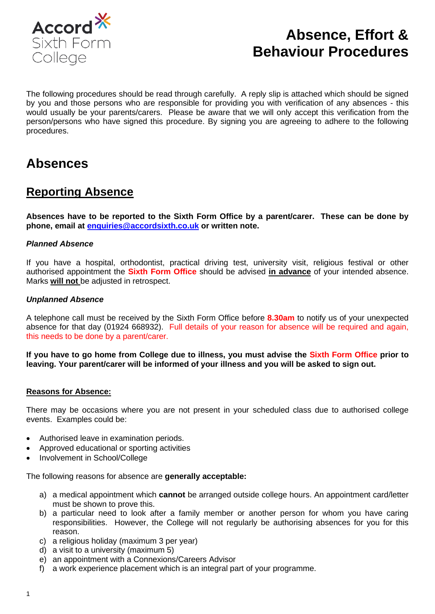

# **Absence, Effort & Behaviour Procedures**

The following procedures should be read through carefully. A reply slip is attached which should be signed by you and those persons who are responsible for providing you with verification of any absences - this would usually be your parents/carers. Please be aware that we will only accept this verification from the person/persons who have signed this procedure. By signing you are agreeing to adhere to the following procedures.

## **Absences**

### **Reporting Absence**

**Absences have to be reported to the Sixth Form Office by a parent/carer. These can be done by phone, email at [enquiries@accordsixth.co.uk](mailto:enquiries@accordsixth.co.uk) or written note.**

#### *Planned Absence*

If you have a hospital, orthodontist, practical driving test, university visit, religious festival or other authorised appointment the **Sixth Form Office** should be advised **in advance** of your intended absence. Marks **will not** be adjusted in retrospect.

#### *Unplanned Absence*

A telephone call must be received by the Sixth Form Office before **8.30am** to notify us of your unexpected absence for that day (01924 668932). Full details of your reason for absence will be required and again, this needs to be done by a parent/carer.

**If you have to go home from College due to illness, you must advise the Sixth Form Office prior to leaving. Your parent/carer will be informed of your illness and you will be asked to sign out.** 

#### **Reasons for Absence:**

There may be occasions where you are not present in your scheduled class due to authorised college events. Examples could be:

- Authorised leave in examination periods.
- Approved educational or sporting activities
- Involvement in School/College

The following reasons for absence are **generally acceptable:**

- a) a medical appointment which **cannot** be arranged outside college hours. An appointment card/letter must be shown to prove this.
- b) a particular need to look after a family member or another person for whom you have caring responsibilities. However, the College will not regularly be authorising absences for you for this reason.
- c) a religious holiday (maximum 3 per year)
- d) a visit to a university (maximum 5)
- e) an appointment with a Connexions/Careers Advisor
- f) a work experience placement which is an integral part of your programme.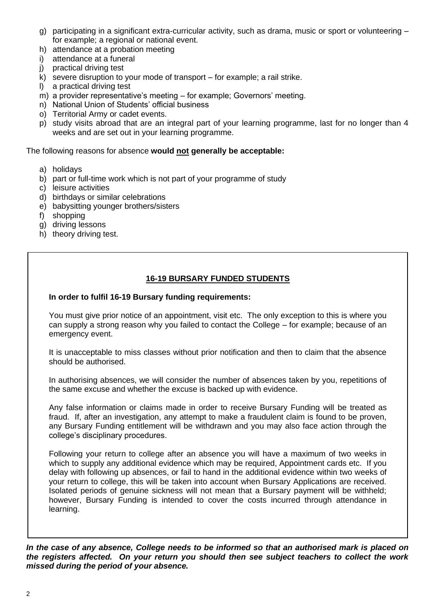- g) participating in a significant extra-curricular activity, such as drama, music or sport or volunteering for example; a regional or national event.
- h) attendance at a probation meeting
- i) attendance at a funeral
- j) practical driving test
- $k$ ) severe disruption to your mode of transport for example; a rail strike.
- l) a practical driving test
- m) a provider representative's meeting for example; Governors' meeting.
- n) National Union of Students' official business
- o) Territorial Army or cadet events.
- p) study visits abroad that are an integral part of your learning programme, last for no longer than 4 weeks and are set out in your learning programme.

The following reasons for absence **would not generally be acceptable:**

- a) holidays
- b) part or full-time work which is not part of your programme of study
- c) leisure activities
- d) birthdays or similar celebrations
- e) babysitting younger brothers/sisters
- f) shopping
- g) driving lessons
- h) theory driving test.

#### **16-19 BURSARY FUNDED STUDENTS**

#### **In order to fulfil 16-19 Bursary funding requirements:**

You must give prior notice of an appointment, visit etc. The only exception to this is where you can supply a strong reason why you failed to contact the College – for example; because of an emergency event.

It is unacceptable to miss classes without prior notification and then to claim that the absence should be authorised.

In authorising absences, we will consider the number of absences taken by you, repetitions of the same excuse and whether the excuse is backed up with evidence.

Any false information or claims made in order to receive Bursary Funding will be treated as fraud. If, after an investigation, any attempt to make a fraudulent claim is found to be proven, any Bursary Funding entitlement will be withdrawn and you may also face action through the college's disciplinary procedures.

Following your return to college after an absence you will have a maximum of two weeks in which to supply any additional evidence which may be required, Appointment cards etc. If you delay with following up absences, or fail to hand in the additional evidence within two weeks of your return to college, this will be taken into account when Bursary Applications are received. Isolated periods of genuine sickness will not mean that a Bursary payment will be withheld; however, Bursary Funding is intended to cover the costs incurred through attendance in learning.

*In the case of any absence, College needs to be informed so that an authorised mark is placed on the registers affected. On your return you should then see subject teachers to collect the work missed during the period of your absence.*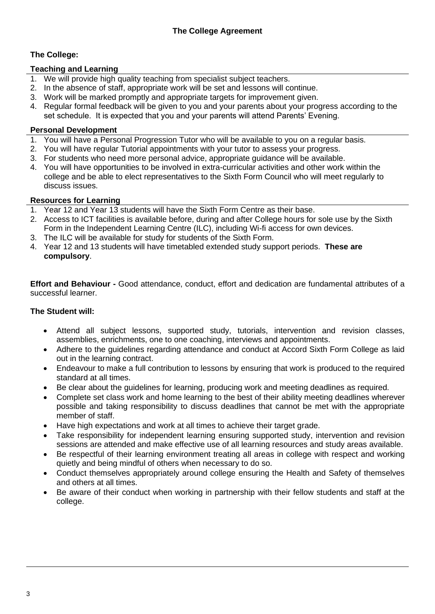#### **The College:**

#### **Teaching and Learning**

- 1. We will provide high quality teaching from specialist subject teachers.
- 2. In the absence of staff, appropriate work will be set and lessons will continue.
- 3. Work will be marked promptly and appropriate targets for improvement given.
- 4. Regular formal feedback will be given to you and your parents about your progress according to the set schedule. It is expected that you and your parents will attend Parents' Evening.

#### **Personal Development**

- 1. You will have a Personal Progression Tutor who will be available to you on a regular basis.
- 2. You will have regular Tutorial appointments with your tutor to assess your progress.
- 3. For students who need more personal advice, appropriate guidance will be available.
- 4. You will have opportunities to be involved in extra-curricular activities and other work within the college and be able to elect representatives to the Sixth Form Council who will meet regularly to discuss issues.

#### **Resources for Learning**

- 1. Year 12 and Year 13 students will have the Sixth Form Centre as their base.
- 2. Access to ICT facilities is available before, during and after College hours for sole use by the Sixth Form in the Independent Learning Centre (ILC), including Wi-fi access for own devices.
- 3. The ILC will be available for study for students of the Sixth Form.
- 4. Year 12 and 13 students will have timetabled extended study support periods. **These are compulsory**.

**Effort and Behaviour -** Good attendance, conduct, effort and dedication are fundamental attributes of a successful learner.

#### **The Student will:**

- Attend all subject lessons, supported study, tutorials, intervention and revision classes, assemblies, enrichments, one to one coaching, interviews and appointments.
- Adhere to the guidelines regarding attendance and conduct at Accord Sixth Form College as laid out in the learning contract.
- Endeavour to make a full contribution to lessons by ensuring that work is produced to the required standard at all times.
- Be clear about the guidelines for learning, producing work and meeting deadlines as required.
- Complete set class work and home learning to the best of their ability meeting deadlines wherever possible and taking responsibility to discuss deadlines that cannot be met with the appropriate member of staff.
- Have high expectations and work at all times to achieve their target grade.
- Take responsibility for independent learning ensuring supported study, intervention and revision sessions are attended and make effective use of all learning resources and study areas available.
- Be respectful of their learning environment treating all areas in college with respect and working quietly and being mindful of others when necessary to do so.
- Conduct themselves appropriately around college ensuring the Health and Safety of themselves and others at all times.
- Be aware of their conduct when working in partnership with their fellow students and staff at the college.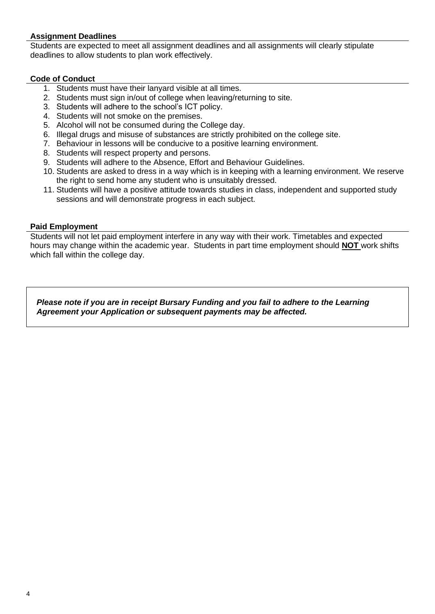#### **Assignment Deadlines**

Students are expected to meet all assignment deadlines and all assignments will clearly stipulate deadlines to allow students to plan work effectively.

#### **Code of Conduct**

- 1. Students must have their lanyard visible at all times.
- 2. Students must sign in/out of college when leaving/returning to site.
- 3. Students will adhere to the school's ICT policy.
- 4. Students will not smoke on the premises.
- 5. Alcohol will not be consumed during the College day.
- 6. Illegal drugs and misuse of substances are strictly prohibited on the college site.
- 7. Behaviour in lessons will be conducive to a positive learning environment.
- 8. Students will respect property and persons.
- 9. Students will adhere to the Absence, Effort and Behaviour Guidelines.
- 10. Students are asked to dress in a way which is in keeping with a learning environment. We reserve the right to send home any student who is unsuitably dressed.
- 11. Students will have a positive attitude towards studies in class, independent and supported study sessions and will demonstrate progress in each subject.

#### **Paid Employment**

Students will not let paid employment interfere in any way with their work. Timetables and expected hours may change within the academic year. Students in part time employment should **NOT** work shifts which fall within the college day.

*Please note if you are in receipt Bursary Funding and you fail to adhere to the Learning Agreement your Application or subsequent payments may be affected.*